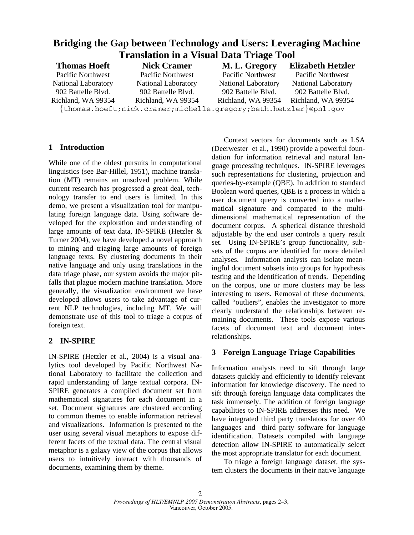| Bridging the Gap between Technology and Users: Leveraging Machine                                                                     |                     |                                                                                                                                       |                          |
|---------------------------------------------------------------------------------------------------------------------------------------|---------------------|---------------------------------------------------------------------------------------------------------------------------------------|--------------------------|
| <b>Translation in a Visual Data Triage Tool</b>                                                                                       |                     |                                                                                                                                       |                          |
| <b>Thomas Hoeft</b>                                                                                                                   | <b>Nick Cramer</b>  | M. L. Gregory                                                                                                                         | <b>Elizabeth Hetzler</b> |
| Pacific Northwest                                                                                                                     | Pacific Northwest   | Pacific Northwest                                                                                                                     | Pacific Northwest        |
| National Laboratory                                                                                                                   | National Laboratory | <b>National Laboratory</b>                                                                                                            | National Laboratory      |
| 902 Battelle Blvd.                                                                                                                    | 902 Battelle Blvd.  | 902 Battelle Blvd.                                                                                                                    | 902 Battelle Blvd.       |
| Richland, WA 99354<br>the contract of the contract of the contract of the contract of the contract of the contract of the contract of | Richland, WA 99354  | Richland, WA 99354<br>the contract of the contract of the contract of the contract of the contract of the contract of the contract of | Richland, WA 99354       |

{thomas.hoeft;nick.cramer;michelle.gregory;beth.hetzler}@pnl.gov

### **1 Introduction**

While one of the oldest pursuits in computational linguistics (see Bar-Hillel, 1951), machine translation (MT) remains an unsolved problem. While current research has progressed a great deal, technology transfer to end users is limited. In this demo, we present a visualization tool for manipulating foreign language data. Using software developed for the exploration and understanding of large amounts of text data, IN-SPIRE (Hetzler & Turner 2004), we have developed a novel approach to mining and triaging large amounts of foreign language texts. By clustering documents in their native language and only using translations in the data triage phase, our system avoids the major pitfalls that plague modern machine translation. More generally, the visualization environment we have developed allows users to take advantage of current NLP technologies, including MT. We will demonstrate use of this tool to triage a corpus of foreign text.

# **2 IN-SPIRE**

IN-SPIRE (Hetzler et al., 2004) is a visual analytics tool developed by Pacific Northwest National Laboratory to facilitate the collection and rapid understanding of large textual corpora. IN-SPIRE generates a compiled document set from mathematical signatures for each document in a set. Document signatures are clustered according to common themes to enable information retrieval and visualizations. Information is presented to the user using several visual metaphors to expose different facets of the textual data. The central visual metaphor is a galaxy view of the corpus that allows users to intuitively interact with thousands of documents, examining them by theme.

 Context vectors for documents such as LSA (Deerwester et al., 1990) provide a powerful foundation for information retrieval and natural language processing techniques. IN-SPIRE leverages such representations for clustering, projection and queries-by-example (QBE). In addition to standard Boolean word queries, QBE is a process in which a user document query is converted into a mathematical signature and compared to the multidimensional mathematical representation of the document corpus. A spherical distance threshold adjustable by the end user controls a query result set. Using IN-SPIRE's group functionality, subsets of the corpus are identified for more detailed analyses. Information analysts can isolate meaningful document subsets into groups for hypothesis testing and the identification of trends. Depending on the corpus, one or more clusters may be less interesting to users. Removal of these documents, called "outliers", enables the investigator to more clearly understand the relationships between remaining documents. These tools expose various facets of document text and document interrelationships.

# **3 Foreign Language Triage Capabilities**

Information analysts need to sift through large datasets quickly and efficiently to identify relevant information for knowledge discovery. The need to sift through foreign language data complicates the task immensely. The addition of foreign language capabilities to IN-SPIRE addresses this need. We have integrated third party translators for over 40 languages and third party software for language identification. Datasets compiled with language detection allow IN-SPIRE to automatically select the most appropriate translator for each document.

To triage a foreign language dataset, the system clusters the documents in their native language